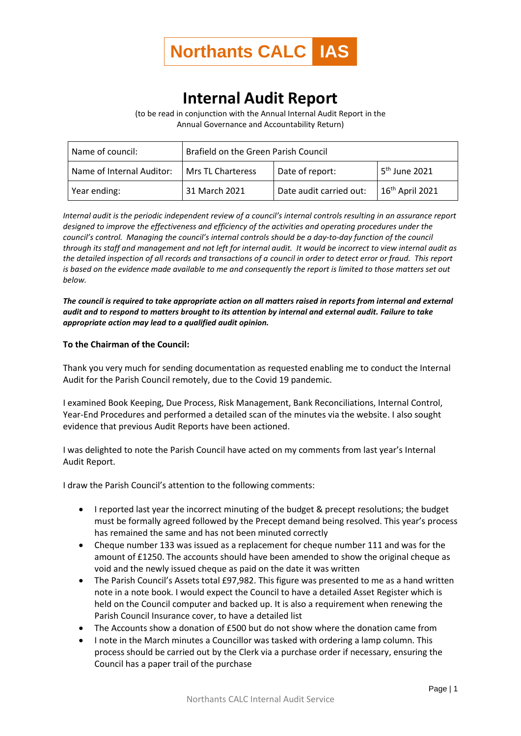

## **Internal Audit Report**

(to be read in conjunction with the Annual Internal Audit Report in the Annual Governance and Accountability Return)

| Name of council:          | Brafield on the Green Parish Council |                         |                           |
|---------------------------|--------------------------------------|-------------------------|---------------------------|
| Name of Internal Auditor: | Mrs TL Charteress                    | Date of report:         | 5 <sup>th</sup> June 2021 |
| Year ending:              | 31 March 2021                        | Date audit carried out: | $16th$ April 2021         |

*Internal audit is the periodic independent review of a council's internal controls resulting in an assurance report designed to improve the effectiveness and efficiency of the activities and operating procedures under the council's control. Managing the council's internal controls should be a day-to-day function of the council through its staff and management and not left for internal audit. It would be incorrect to view internal audit as the detailed inspection of all records and transactions of a council in order to detect error or fraud. This report is based on the evidence made available to me and consequently the report is limited to those matters set out below.*

*The council is required to take appropriate action on all matters raised in reports from internal and external audit and to respond to matters brought to its attention by internal and external audit. Failure to take appropriate action may lead to a qualified audit opinion.*

## **To the Chairman of the Council:**

Thank you very much for sending documentation as requested enabling me to conduct the Internal Audit for the Parish Council remotely, due to the Covid 19 pandemic.

I examined Book Keeping, Due Process, Risk Management, Bank Reconciliations, Internal Control, Year-End Procedures and performed a detailed scan of the minutes via the website. I also sought evidence that previous Audit Reports have been actioned.

I was delighted to note the Parish Council have acted on my comments from last year's Internal Audit Report.

I draw the Parish Council's attention to the following comments:

- I reported last year the incorrect minuting of the budget & precept resolutions; the budget must be formally agreed followed by the Precept demand being resolved. This year's process has remained the same and has not been minuted correctly
- Cheque number 133 was issued as a replacement for cheque number 111 and was for the amount of £1250. The accounts should have been amended to show the original cheque as void and the newly issued cheque as paid on the date it was written
- The Parish Council's Assets total £97,982. This figure was presented to me as a hand written note in a note book. I would expect the Council to have a detailed Asset Register which is held on the Council computer and backed up. It is also a requirement when renewing the Parish Council Insurance cover, to have a detailed list
- The Accounts show a donation of £500 but do not show where the donation came from
- I note in the March minutes a Councillor was tasked with ordering a lamp column. This process should be carried out by the Clerk via a purchase order if necessary, ensuring the Council has a paper trail of the purchase